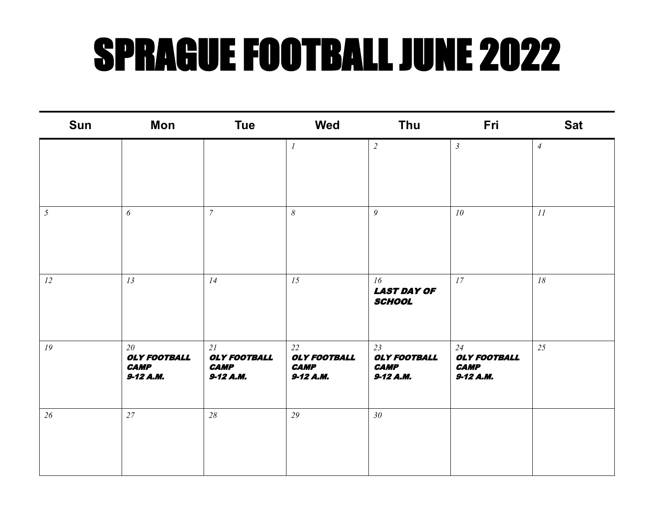## SPRAGUE FOOTBALL JUNE 2022

| Sun            | Mon                                                   | <b>Tue</b>                                            | Wed                                                   | <b>Thu</b>                                            | Fri                                                   | <b>Sat</b>     |
|----------------|-------------------------------------------------------|-------------------------------------------------------|-------------------------------------------------------|-------------------------------------------------------|-------------------------------------------------------|----------------|
|                |                                                       |                                                       | $\mathcal{I}_{\mathcal{I}}$                           | $\overline{2}$                                        | $\mathfrak{Z}$                                        | $\overline{4}$ |
|                |                                                       |                                                       |                                                       |                                                       |                                                       |                |
| $\mathfrak{H}$ | 6                                                     | $\overline{7}$                                        | $\delta$                                              | 9                                                     | 10                                                    | 11             |
|                |                                                       |                                                       |                                                       |                                                       |                                                       |                |
| 12             | 13                                                    | 14                                                    | 15                                                    | 16<br><b>LAST DAY OF</b><br><b>SCHOOL</b>             | 17                                                    | 18             |
| 19             | 20<br><b>OLY FOOTBALL</b><br><b>CAMP</b><br>9-12 A.M. | 21<br><b>OLY FOOTBALL</b><br><b>CAMP</b><br>9-12 A.M. | 22<br><b>OLY FOOTBALL</b><br><b>CAMP</b><br>9-12 A.M. | 23<br><b>OLY FOOTBALL</b><br><b>CAMP</b><br>9-12 A.M. | 24<br><b>OLY FOOTBALL</b><br><b>CAMP</b><br>9-12 A.M. | 25             |
| 26             | 27                                                    | 28                                                    | 29                                                    | 30 <sup>°</sup>                                       |                                                       |                |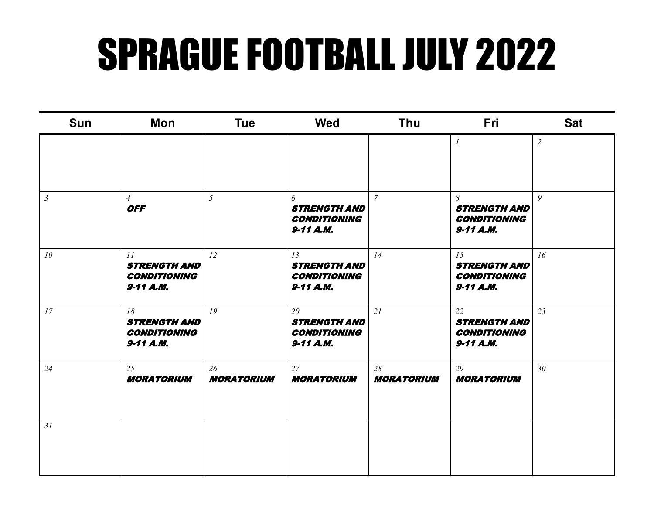## SPRAGUE FOOTBALL JULY 2022

| Sun            | Mon                                                             | <b>Tue</b>              | <b>Wed</b>                                                      | Thu                     | Fri                                                             | <b>Sat</b>      |
|----------------|-----------------------------------------------------------------|-------------------------|-----------------------------------------------------------------|-------------------------|-----------------------------------------------------------------|-----------------|
|                |                                                                 |                         |                                                                 |                         | $\boldsymbol{l}$                                                | $\overline{2}$  |
| $\mathfrak{Z}$ | $\overline{4}$<br><b>OFF</b>                                    | 5                       | 6<br><b>STRENGTH AND</b><br><b>CONDITIONING</b><br>9-11 A.M.    | $\overline{7}$          | 8<br><b>STRENGTH AND</b><br><b>CONDITIONING</b><br>9-11 A.M.    | $\overline{Q}$  |
| 10             | 11<br><b>STRENGTH AND</b><br><b>CONDITIONING</b><br>$9-11$ A.M. | 12                      | 13<br><b>STRENGTH AND</b><br><b>CONDITIONING</b><br>$9-11$ A.M. | 14                      | 15<br><b>STRENGTH AND</b><br><b>CONDITIONING</b><br>$9-11$ A.M. | 16              |
| 17             | 18<br><b>STRENGTH AND</b><br><b>CONDITIONING</b><br>9-11 A.M.   | 19                      | 20<br><b>STRENGTH AND</b><br><b>CONDITIONING</b><br>9-11 A.M.   | 21                      | 22<br><b>STRENGTH AND</b><br><b>CONDITIONING</b><br>9-11 A.M.   | 23              |
| 24             | 25<br><b>MORATORIUM</b>                                         | 26<br><b>MORATORIUM</b> | 27<br><b>MORATORIUM</b>                                         | 28<br><b>MORATORIUM</b> | 29<br><b>MORATORIUM</b>                                         | 30 <sup>°</sup> |
| 31             |                                                                 |                         |                                                                 |                         |                                                                 |                 |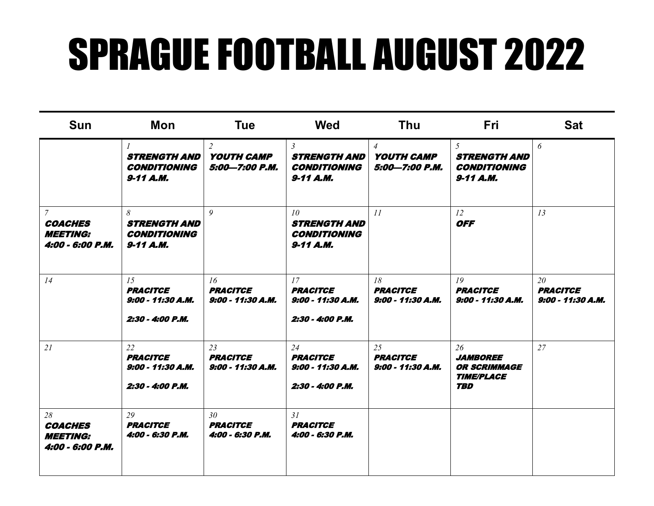## SPRAGUE FOOTBALL AUGUST 2022

| <b>Sun</b>                                                             | Mon                                                                          | <b>Tue</b>                                            | <b>Wed</b>                                                                   | Thu                                                   | Fri                                                                                    | <b>Sat</b>                                 |
|------------------------------------------------------------------------|------------------------------------------------------------------------------|-------------------------------------------------------|------------------------------------------------------------------------------|-------------------------------------------------------|----------------------------------------------------------------------------------------|--------------------------------------------|
|                                                                        | <b>STRENGTH AND</b><br><b>CONDITIONING</b><br>9-11 A.M.                      | $\overline{2}$<br><b>YOUTH CAMP</b><br>5:00-7:00 P.M. | $\mathcal{E}$<br><b>STRENGTH AND</b><br><b>CONDITIONING</b><br>9-11 A.M.     | $\overline{4}$<br><b>YOUTH CAMP</b><br>5:00-7:00 P.M. | $\mathfrak{H}$<br><b>STRENGTH AND</b><br><b>CONDITIONING</b><br>9-11 A.M.              | 6                                          |
| $\mathcal{T}$<br><b>COACHES</b><br><b>MEETING:</b><br>4:00 - 6:00 P.M. | 8<br><b>STRENGTH AND</b><br><b>CONDITIONING</b><br>$9-11$ A.M.               | 9                                                     | 10 <sup>2</sup><br><b>STRENGTH AND</b><br><b>CONDITIONING</b><br>$9-11$ A.M. | 11                                                    | 12<br><b>OFF</b>                                                                       | 13                                         |
| 14                                                                     | 15 <sup>15</sup><br><b>PRACITCE</b><br>9:00 - 11:30 A.M.<br>2:30 - 4:00 P.M. | 16<br><b>PRACITCE</b><br>9:00 - 11:30 A.M.            | 17<br><b>PRACITCE</b><br>9:00 - 11:30 A.M.<br>2:30 - 4:00 P.M.               | 18<br><b>PRACITCE</b><br>9:00 - 11:30 A.M.            | 19<br><b>PRACITCE</b><br>9:00 - 11:30 A.M.                                             | 20<br><b>PRACITCE</b><br>9:00 - 11:30 A.M. |
| 21                                                                     | 22<br><b>PRACITCE</b><br>9:00 - 11:30 A.M.<br>2:30 - 4:00 P.M.               | 23<br><b>PRACITCE</b><br>9:00 - 11:30 A.M.            | 24<br><b>PRACITCE</b><br>9:00 - 11:30 A.M.<br>2:30 - 4:00 P.M.               | 25<br><b>PRACITCE</b><br>9:00 - 11:30 A.M.            | 26<br><b>JAMBOREE</b><br><b>OR SCRIMMAGE</b><br><b>TIME/PLACE</b><br><i><b>TBD</b></i> | 27                                         |
| 28<br><b>COACHES</b><br><b>MEETING:</b><br>4:00 - 6:00 P.M.            | 29<br><b>PRACITCE</b><br>4:00 - 6:30 P.M.                                    | 30<br><b>PRACITCE</b><br>4:00 - 6:30 P.M.             | 31<br><b>PRACITCE</b><br>4:00 - 6:30 P.M.                                    |                                                       |                                                                                        |                                            |